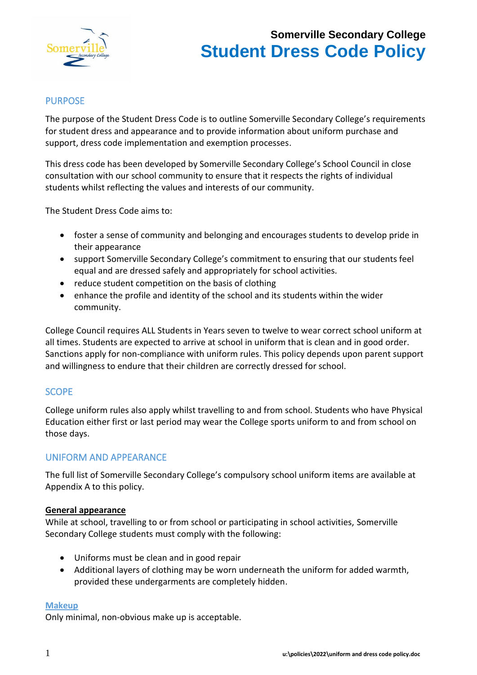

# PURPOSE

The purpose of the Student Dress Code is to outline Somerville Secondary College's requirements for student dress and appearance and to provide information about uniform purchase and support, dress code implementation and exemption processes.

This dress code has been developed by Somerville Secondary College's School Council in close consultation with our school community to ensure that it respects the rights of individual students whilst reflecting the values and interests of our community.

The Student Dress Code aims to:

- foster a sense of community and belonging and encourages students to develop pride in their appearance
- support Somerville Secondary College's commitment to ensuring that our students feel equal and are dressed safely and appropriately for school activities.
- reduce student competition on the basis of clothing
- enhance the profile and identity of the school and its students within the wider community.

College Council requires ALL Students in Years seven to twelve to wear correct school uniform at all times. Students are expected to arrive at school in uniform that is clean and in good order. Sanctions apply for non-compliance with uniform rules. This policy depends upon parent support and willingness to endure that their children are correctly dressed for school.

## SCOPE

College uniform rules also apply whilst travelling to and from school. Students who have Physical Education either first or last period may wear the College sports uniform to and from school on those days.

# UNIFORM AND APPEARANCE

The full list of Somerville Secondary College's compulsory school uniform items are available at Appendix A to this policy.

## **General appearance**

While at school, travelling to or from school or participating in school activities, Somerville Secondary College students must comply with the following:

- Uniforms must be clean and in good repair
- Additional layers of clothing may be worn underneath the uniform for added warmth, provided these undergarments are completely hidden.

## **Makeup**

Only minimal, non-obvious make up is acceptable.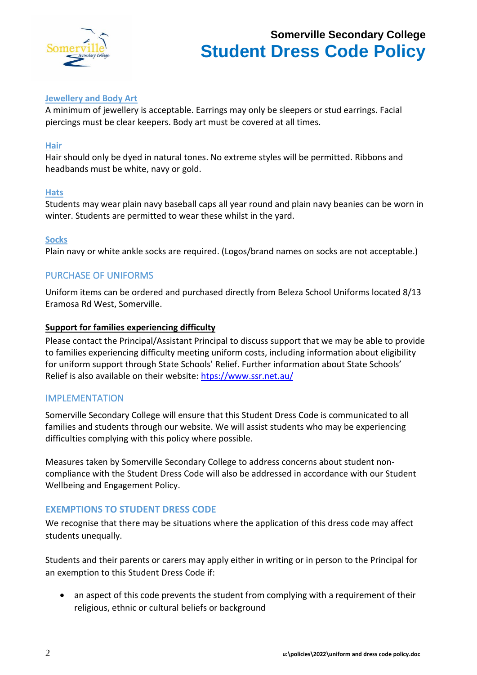

## **Jewellery and Body Art**

A minimum of jewellery is acceptable. Earrings may only be sleepers or stud earrings. Facial piercings must be clear keepers. Body art must be covered at all times.

### **Hair**

Hair should only be dyed in natural tones. No extreme styles will be permitted. Ribbons and headbands must be white, navy or gold.

### **Hats**

Students may wear plain navy baseball caps all year round and plain navy beanies can be worn in winter. Students are permitted to wear these whilst in the yard.

### **Socks**

Plain navy or white ankle socks are required. (Logos/brand names on socks are not acceptable.)

## PURCHASE OF UNIFORMS

Uniform items can be ordered and purchased directly from Beleza School Uniforms located 8/13 Eramosa Rd West, Somerville.

### **Support for families experiencing difficulty**

Please contact the Principal/Assistant Principal to discuss support that we may be able to provide to families experiencing difficulty meeting uniform costs, including information about eligibility for uniform support through State Schools' Relief. Further information about State Schools' Relief is also available on their website: [htps://www.ssr.net.au/](https://www.ssr.net.au/)

## IMPLEMENTATION

Somerville Secondary College will ensure that this Student Dress Code is communicated to all families and students through our website. We will assist students who may be experiencing difficulties complying with this policy where possible.

Measures taken by Somerville Secondary College to address concerns about student noncompliance with the Student Dress Code will also be addressed in accordance with our Student Wellbeing and Engagement Policy.

## **EXEMPTIONS TO STUDENT DRESS CODE**

We recognise that there may be situations where the application of this dress code may affect students unequally.

Students and their parents or carers may apply either in writing or in person to the Principal for an exemption to this Student Dress Code if:

• an aspect of this code prevents the student from complying with a requirement of their religious, ethnic or cultural beliefs or background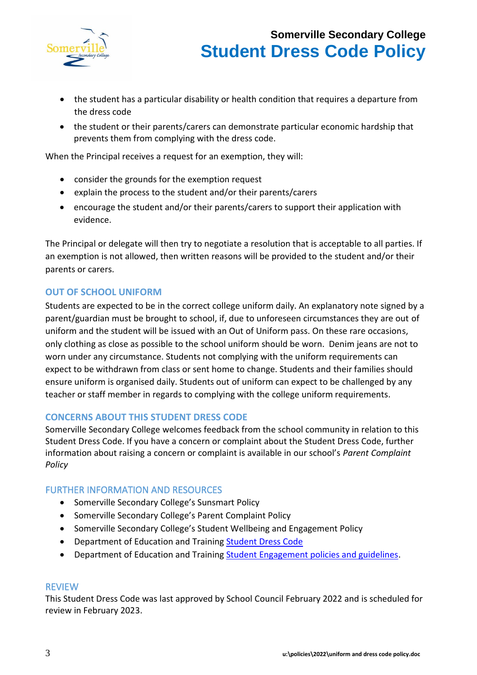

- the student has a particular disability or health condition that requires a departure from the dress code
- the student or their parents/carers can demonstrate particular economic hardship that prevents them from complying with the dress code.

When the Principal receives a request for an exemption, they will:

- consider the grounds for the exemption request
- explain the process to the student and/or their parents/carers
- encourage the student and/or their parents/carers to support their application with evidence.

The Principal or delegate will then try to negotiate a resolution that is acceptable to all parties. If an exemption is not allowed, then written reasons will be provided to the student and/or their parents or carers.

# **OUT OF SCHOOL UNIFORM**

Students are expected to be in the correct college uniform daily. An explanatory note signed by a parent/guardian must be brought to school, if, due to unforeseen circumstances they are out of uniform and the student will be issued with an Out of Uniform pass. On these rare occasions, only clothing as close as possible to the school uniform should be worn. Denim jeans are not to worn under any circumstance. Students not complying with the uniform requirements can expect to be withdrawn from class or sent home to change. Students and their families should ensure uniform is organised daily. Students out of uniform can expect to be challenged by any teacher or staff member in regards to complying with the college uniform requirements.

## **CONCERNS ABOUT THIS STUDENT DRESS CODE**

Somerville Secondary College welcomes feedback from the school community in relation to this Student Dress Code. If you have a concern or complaint about the Student Dress Code, further information about raising a concern or complaint is available in our school's *Parent Complaint Policy*

## FURTHER INFORMATION AND RESOURCES

- Somerville Secondary College's Sunsmart Policy
- Somerville Secondary College's Parent Complaint Policy
- Somerville Secondary College's Student Wellbeing and Engagement Policy
- Department of Education and Training [Student Dress Code](https://www.education.vic.gov.au/school/principals/spag/management/pages/dresscode.aspx)
- Department of Education and Training [Student Engagement policies and guidelines.](https://www.education.vic.gov.au/school/teachers/behaviour/engagement/Pages/default.aspx)

## REVIEW

This Student Dress Code was last approved by School Council February 2022 and is scheduled for review in February 2023.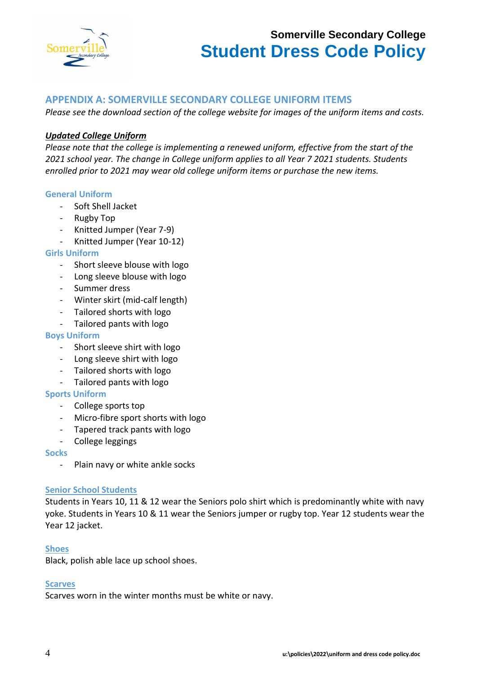

# **APPENDIX A: SOMERVILLE SECONDARY COLLEGE UNIFORM ITEMS**

*Please see the download section of the college website for images of the uniform items and costs.*

## *Updated College Uniform*

*Please note that the college is implementing a renewed uniform, effective from the start of the 2021 school year. The change in College uniform applies to all Year 7 2021 students. Students enrolled prior to 2021 may wear old college uniform items or purchase the new items.* 

### **General Uniform**

- Soft Shell Jacket
- Rugby Top
- Knitted Jumper (Year 7-9)
- Knitted Jumper (Year 10-12)

#### **Girls Uniform**

- Short sleeve blouse with logo
- Long sleeve blouse with logo
- Summer dress
- Winter skirt (mid-calf length)
- Tailored shorts with logo
- Tailored pants with logo

#### **Boys Uniform**

- Short sleeve shirt with logo
- Long sleeve shirt with logo
- Tailored shorts with logo
- Tailored pants with logo

#### **Sports Uniform**

- College sports top
- Micro-fibre sport shorts with logo
- Tapered track pants with logo
- College leggings

#### **Socks**

- Plain navy or white ankle socks

#### **Senior School Students**

Students in Years 10, 11 & 12 wear the Seniors polo shirt which is predominantly white with navy yoke. Students in Years 10 & 11 wear the Seniors jumper or rugby top. Year 12 students wear the Year 12 jacket.

#### **Shoes**

Black, polish able lace up school shoes.

#### **Scarves**

Scarves worn in the winter months must be white or navy.